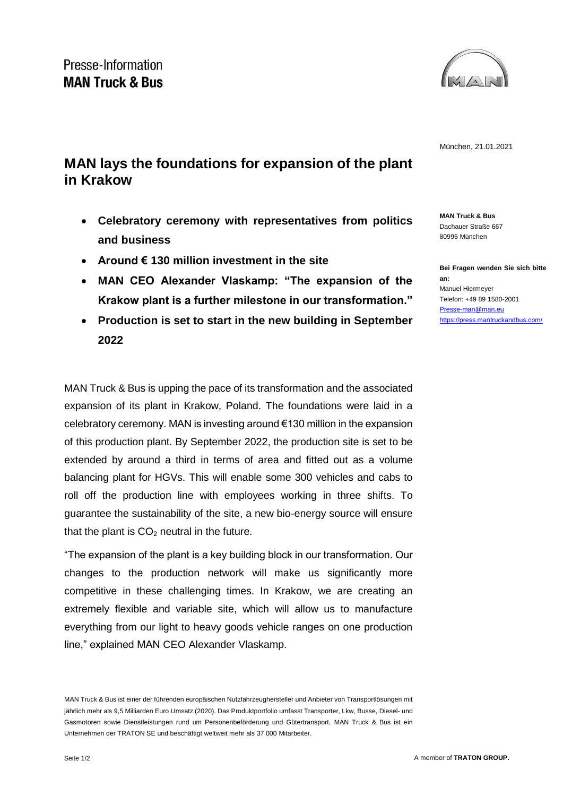

München, 21.01.2021

## **MAN lays the foundations for expansion of the plant in Krakow**

- **Celebratory ceremony with representatives from politics and business**
- **Around € 130 million investment in the site**
- **MAN CEO Alexander Vlaskamp: "The expansion of the Krakow plant is a further milestone in our transformation."**
- **Production is set to start in the new building in September 2022**

MAN Truck & Bus is upping the pace of its transformation and the associated expansion of its plant in Krakow, Poland. The foundations were laid in a celebratory ceremony. MAN is investing around €130 million in the expansion of this production plant. By September 2022, the production site is set to be extended by around a third in terms of area and fitted out as a volume balancing plant for HGVs. This will enable some 300 vehicles and cabs to roll off the production line with employees working in three shifts. To guarantee the sustainability of the site, a new bio-energy source will ensure that the plant is  $CO<sub>2</sub>$  neutral in the future.

"The expansion of the plant is a key building block in our transformation. Our changes to the production network will make us significantly more competitive in these challenging times. In Krakow, we are creating an extremely flexible and variable site, which will allow us to manufacture everything from our light to heavy goods vehicle ranges on one production line," explained MAN CEO Alexander Vlaskamp.

**MAN Truck & Bus** Dachauer Straße 667 80995 München

**Bei Fragen wenden Sie sich bitte an:** Manuel Hiermeyer Telefon: +49 89 1580-2001 [Presse-man@man.eu](mailto:Presse-man@man.eu) <https://press.mantruckandbus.com/>

MAN Truck & Bus ist einer der führenden europäischen Nutzfahrzeughersteller und Anbieter von Transportlösungen mit jährlich mehr als 9,5 Milliarden Euro Umsatz (2020). Das Produktportfolio umfasst Transporter, Lkw, Busse, Diesel- und Gasmotoren sowie Dienstleistungen rund um Personenbeförderung und Gütertransport. MAN Truck & Bus ist ein Unternehmen der TRATON SE und beschäftigt weltweit mehr als 37 000 Mitarbeiter.